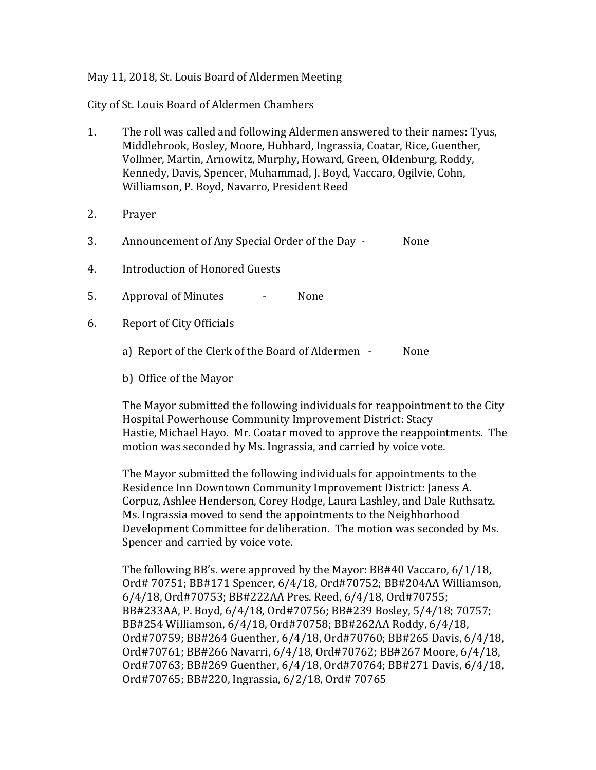## May 11, 2018, St. Louis Board of Aldermen Meeting

City of St. Louis Board of Aldermen Chambers

- 1. The roll was called and following Aldermen answered to their names: Tyus, Middlebrook, Bosley, Moore, Hubbard, Ingrassia, Coatar, Rice, Guenther, Vollmer, Martin, Arnowitz, Murphy, Howard, Green, Oldenburg, Roddy, Kennedy, Davis, Spencer, Muhammad, J. Boyd, Vaccaro, Ogilvie, Cohn, Williamson, P. Boyd, Navarro, President Reed
- 2. Prayer
- 3. Announcement of Any Special Order of the Day None
- 4. Introduction of Honored Guests
- 5. Approval of Minutes None
- 6. Report of City Officials
	- a) Report of the Clerk of the Board of Aldermen None
	- b) Office of the Mayor

The Mayor submitted the following individuals for reappointment to the City Hospital Powerhouse Community Improvement District: Stacy Hastie, Michael Hayo. Mr. Coatar moved to approve the reappointments. The motion was seconded by Ms. Ingrassia, and carried by voice vote.

The Mayor submitted the following individuals for appointments to the Residence Inn Downtown Community Improvement District: Janess A. Corpuz, Ashlee Henderson, Corey Hodge, Laura Lashley, and Dale Ruthsatz. Ms. Ingrassia moved to send the appointments to the Neighborhood Development Committee for deliberation. The motion was seconded by Ms. Spencer and carried by voice vote.

The following BB's. were approved by the Mayor: BB#40 Vaccaro, 6/1/18, Ord# 70751; BB#171 Spencer, 6/4/18, Ord#70752; BB#204AA Williamson, 6/4/18, Ord#70753; BB#222AA Pres. Reed, 6/4/18, Ord#70755; BB#233AA, P. Boyd, 6/4/18, Ord#70756; BB#239 Bosley, 5/4/18; 70757; BB#254 Williamson, 6/4/18, Ord#70758; BB#262AA Roddy, 6/4/18, Ord#70759; BB#264 Guenther, 6/4/18, Ord#70760; BB#265 Davis, 6/4/18, Ord#70761; BB#266 Navarri, 6/4/18, Ord#70762; BB#267 Moore, 6/4/18, Ord#70763; BB#269 Guenther, 6/4/18, Ord#70764; BB#271 Davis, 6/4/18, Ord#70765; BB#220, Ingrassia, 6/2/18, Ord# 70765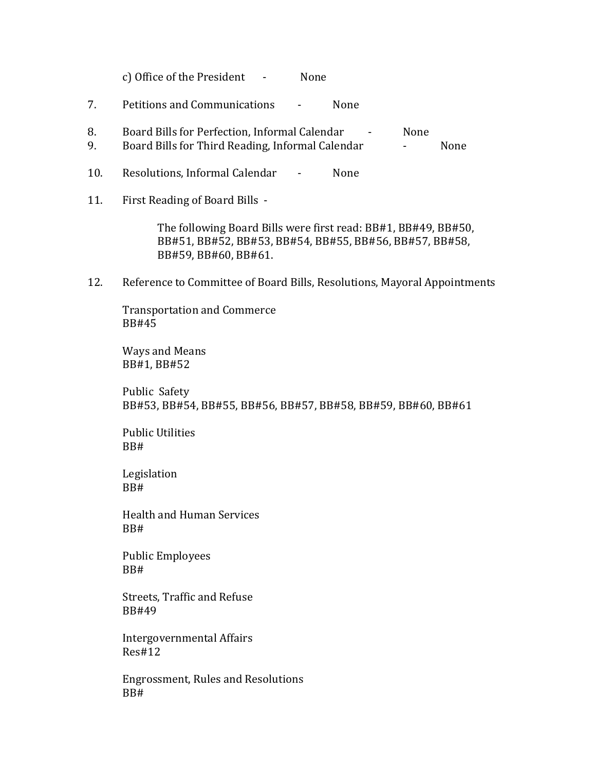c) Office of the President - None

- 7. Petitions and Communications None
- 8. Board Bills for Perfection, Informal Calendar None
- 9. Board Bills for Third Reading, Informal Calendar France Rome
- 10. Resolutions, Informal Calendar None
- 11. First Reading of Board Bills -

The following Board Bills were first read: BB#1, BB#49, BB#50, BB#51, BB#52, BB#53, BB#54, BB#55, BB#56, BB#57, BB#58, BB#59, BB#60, BB#61.

12. Reference to Committee of Board Bills, Resolutions, Mayoral Appointments

Transportation and Commerce BB#45

Ways and Means BB#1, BB#52

Public Safety BB#53, BB#54, BB#55, BB#56, BB#57, BB#58, BB#59, BB#60, BB#61

Public Utilities BB#

Legislation BB#

Health and Human Services BB#

Public Employees BB#

Streets, Traffic and Refuse BB#49

Intergovernmental Affairs Res#12

Engrossment, Rules and Resolutions BB#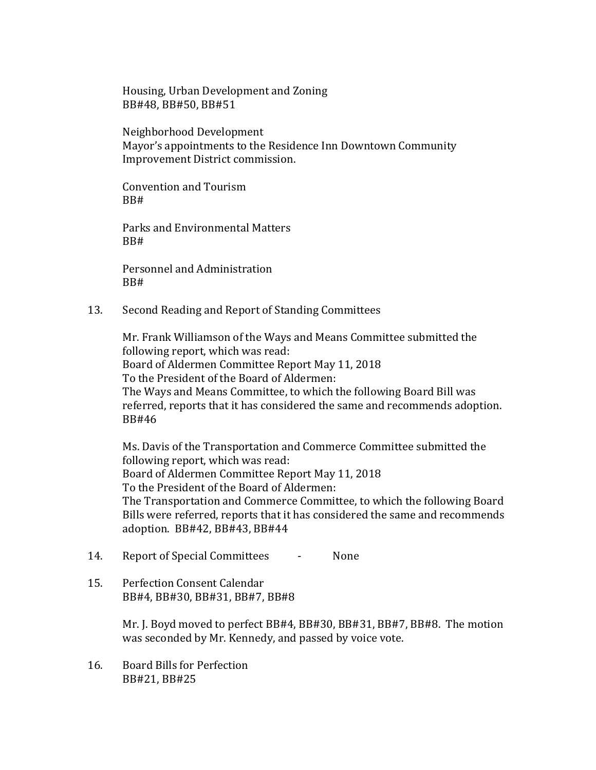Housing, Urban Development and Zoning BB#48, BB#50, BB#51

Neighborhood Development Mayor's appointments to the Residence Inn Downtown Community Improvement District commission.

Convention and Tourism BB#

Parks and Environmental Matters BB#

Personnel and Administration BB#

13. Second Reading and Report of Standing Committees

Mr. Frank Williamson of the Ways and Means Committee submitted the following report, which was read: Board of Aldermen Committee Report May 11, 2018 To the President of the Board of Aldermen: The Ways and Means Committee, to which the following Board Bill was referred, reports that it has considered the same and recommends adoption. BB#46

Ms. Davis of the Transportation and Commerce Committee submitted the following report, which was read: Board of Aldermen Committee Report May 11, 2018 To the President of the Board of Aldermen: The Transportation and Commerce Committee, to which the following Board Bills were referred, reports that it has considered the same and recommends adoption. BB#42, BB#43, BB#44

- 14. Report of Special Committees None
- 15. Perfection Consent Calendar BB#4, BB#30, BB#31, BB#7, BB#8

Mr. J. Boyd moved to perfect BB#4, BB#30, BB#31, BB#7, BB#8. The motion was seconded by Mr. Kennedy, and passed by voice vote.

16. Board Bills for Perfection BB#21, BB#25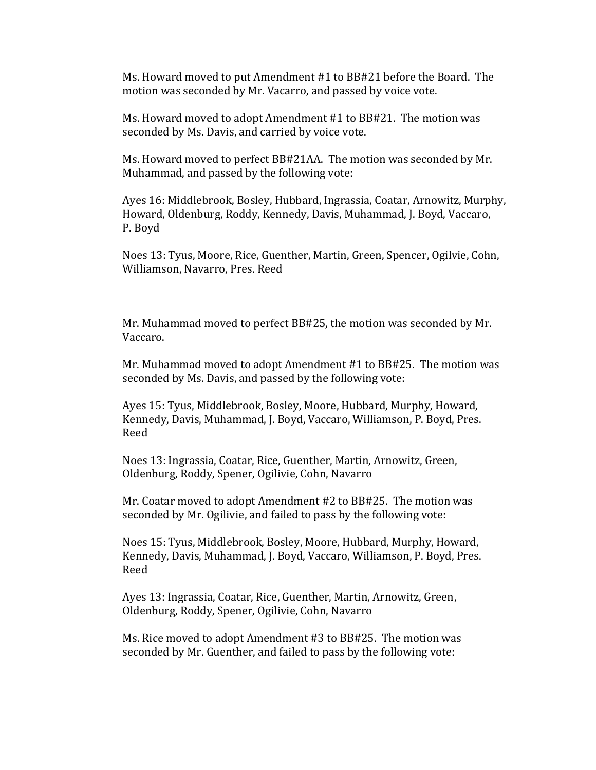Ms. Howard moved to put Amendment #1 to BB#21 before the Board. The motion was seconded by Mr. Vacarro, and passed by voice vote.

Ms. Howard moved to adopt Amendment #1 to BB#21. The motion was seconded by Ms. Davis, and carried by voice vote.

Ms. Howard moved to perfect BB#21AA. The motion was seconded by Mr. Muhammad, and passed by the following vote:

Ayes 16: Middlebrook, Bosley, Hubbard, Ingrassia, Coatar, Arnowitz, Murphy, Howard, Oldenburg, Roddy, Kennedy, Davis, Muhammad, J. Boyd, Vaccaro, P. Boyd

Noes 13: Tyus, Moore, Rice, Guenther, Martin, Green, Spencer, Ogilvie, Cohn, Williamson, Navarro, Pres. Reed

Mr. Muhammad moved to perfect BB#25, the motion was seconded by Mr. Vaccaro.

Mr. Muhammad moved to adopt Amendment #1 to BB#25. The motion was seconded by Ms. Davis, and passed by the following vote:

Ayes 15: Tyus, Middlebrook, Bosley, Moore, Hubbard, Murphy, Howard, Kennedy, Davis, Muhammad, J. Boyd, Vaccaro, Williamson, P. Boyd, Pres. Reed

Noes 13: Ingrassia, Coatar, Rice, Guenther, Martin, Arnowitz, Green, Oldenburg, Roddy, Spener, Ogilivie, Cohn, Navarro

Mr. Coatar moved to adopt Amendment #2 to BB#25. The motion was seconded by Mr. Ogilivie, and failed to pass by the following vote:

Noes 15: Tyus, Middlebrook, Bosley, Moore, Hubbard, Murphy, Howard, Kennedy, Davis, Muhammad, J. Boyd, Vaccaro, Williamson, P. Boyd, Pres. Reed

Ayes 13: Ingrassia, Coatar, Rice, Guenther, Martin, Arnowitz, Green, Oldenburg, Roddy, Spener, Ogilivie, Cohn, Navarro

Ms. Rice moved to adopt Amendment #3 to BB#25. The motion was seconded by Mr. Guenther, and failed to pass by the following vote: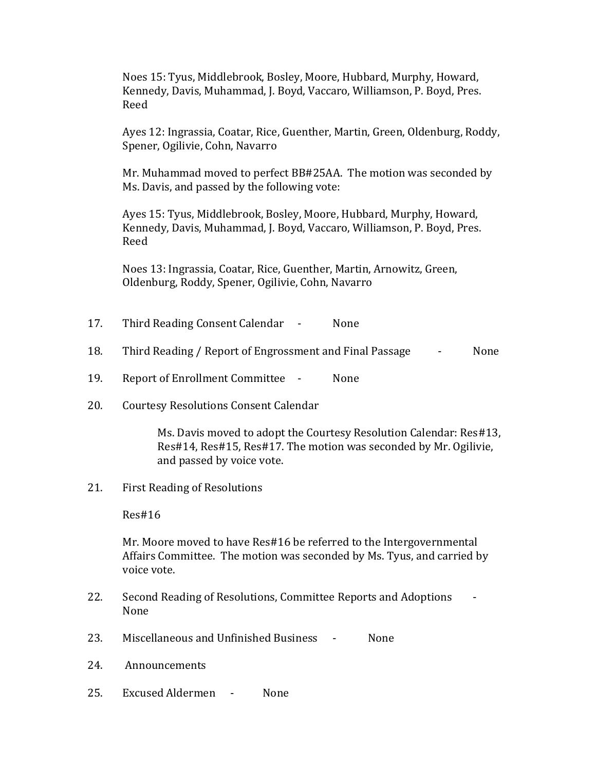Noes 15: Tyus, Middlebrook, Bosley, Moore, Hubbard, Murphy, Howard, Kennedy, Davis, Muhammad, J. Boyd, Vaccaro, Williamson, P. Boyd, Pres. Reed

Ayes 12: Ingrassia, Coatar, Rice, Guenther, Martin, Green, Oldenburg, Roddy, Spener, Ogilivie, Cohn, Navarro

Mr. Muhammad moved to perfect BB#25AA. The motion was seconded by Ms. Davis, and passed by the following vote:

Ayes 15: Tyus, Middlebrook, Bosley, Moore, Hubbard, Murphy, Howard, Kennedy, Davis, Muhammad, J. Boyd, Vaccaro, Williamson, P. Boyd, Pres. Reed

Noes 13: Ingrassia, Coatar, Rice, Guenther, Martin, Arnowitz, Green, Oldenburg, Roddy, Spener, Ogilivie, Cohn, Navarro

- 17. Third Reading Consent Calendar None
- 18. Third Reading / Report of Engrossment and Final Passage  $\qquad \qquad$  None
- 19. Report of Enrollment Committee None
- 20. Courtesy Resolutions Consent Calendar

Ms. Davis moved to adopt the Courtesy Resolution Calendar: Res#13, Res#14, Res#15, Res#17. The motion was seconded by Mr. Ogilivie, and passed by voice vote.

21. First Reading of Resolutions

Res#16

Mr. Moore moved to have Res#16 be referred to the Intergovernmental Affairs Committee. The motion was seconded by Ms. Tyus, and carried by voice vote.

- 22. Second Reading of Resolutions, Committee Reports and Adoptions None
- 23. Miscellaneous and Unfinished Business None
- 24. Announcements
- 25. Excused Aldermen None